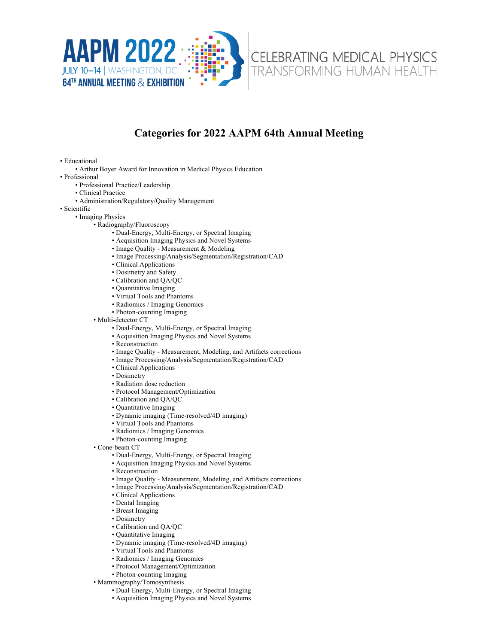



CELEBRATING MEDICAL PHYSICS **TRANSFORMING HUMAN HEALTH** 

## **Categories for 2022 AAPM 64th Annual Meeting**

• Educational

• Arthur Boyer Award for Innovation in Medical Physics Education

• Professional

- Professional Practice/Leadership
- Clinical Practice
- Administration/Regulatory/Quality Management
- Scientific
	- Imaging Physics
		- Radiography/Fluoroscopy
			- Dual-Energy, Multi-Energy, or Spectral Imaging
			- Acquisition Imaging Physics and Novel Systems
			- Image Quality Measurement & Modeling
			- Image Processing/Analysis/Segmentation/Registration/CAD
			- Clinical Applications
			- Dosimetry and Safety
			- Calibration and QA/QC
			- Quantitative Imaging
			- Virtual Tools and Phantoms
			- Radiomics / Imaging Genomics
			- Photon-counting Imaging
		- Multi-detector CT
			- Dual-Energy, Multi-Energy, or Spectral Imaging
			- Acquisition Imaging Physics and Novel Systems
			- Reconstruction
			- Image Quality Measurement, Modeling, and Artifacts corrections
			- Image Processing/Analysis/Segmentation/Registration/CAD
			- Clinical Applications
			- Dosimetry
			- Radiation dose reduction
			- Protocol Management/Optimization
			- Calibration and QA/QC
			- Quantitative Imaging
			- Dynamic imaging (Time-resolved/4D imaging)
			- Virtual Tools and Phantoms
			- Radiomics / Imaging Genomics
			- Photon-counting Imaging
		- Cone-beam CT
			- Dual-Energy, Multi-Energy, or Spectral Imaging
			- Acquisition Imaging Physics and Novel Systems
			- Reconstruction
			- Image Quality Measurement, Modeling, and Artifacts corrections
			- Image Processing/Analysis/Segmentation/Registration/CAD
			- Clinical Applications
			- Dental Imaging
			- Breast Imaging
			- Dosimetry
			- Calibration and QA/QC
			- Quantitative Imaging
			- Dynamic imaging (Time-resolved/4D imaging)
			- Virtual Tools and Phantoms
			- Radiomics / Imaging Genomics
			- Protocol Management/Optimization
			- Photon-counting Imaging
		- Mammography/Tomosynthesis
			- Dual-Energy, Multi-Energy, or Spectral Imaging
			- Acquisition Imaging Physics and Novel Systems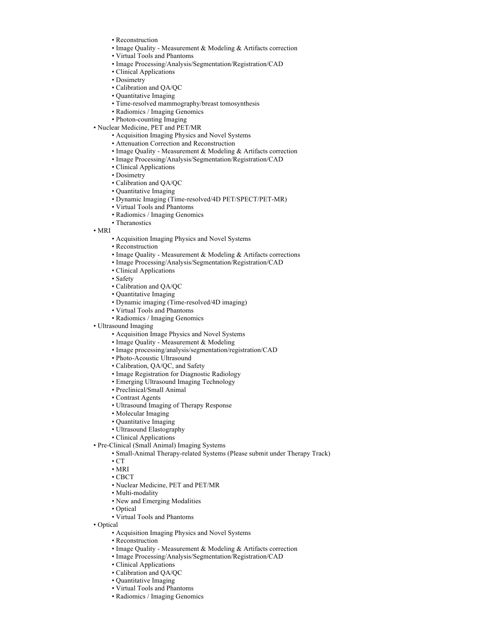- Reconstruction
- Image Quality Measurement & Modeling & Artifacts correction
- Virtual Tools and Phantoms
- Image Processing/Analysis/Segmentation/Registration/CAD
- Clinical Applications
- Dosimetry
- Calibration and QA/QC
- Quantitative Imaging
- Time-resolved mammography/breast tomosynthesis
- Radiomics / Imaging Genomics
- Photon-counting Imaging
- Nuclear Medicine, PET and PET/MR
	- Acquisition Imaging Physics and Novel Systems
	- Attenuation Correction and Reconstruction
	- Image Quality Measurement & Modeling & Artifacts correction
	- Image Processing/Analysis/Segmentation/Registration/CAD
	- Clinical Applications
	- Dosimetry
	- Calibration and QA/QC
	- Quantitative Imaging
	- Dynamic Imaging (Time-resolved/4D PET/SPECT/PET-MR)
	- Virtual Tools and Phantoms
	- Radiomics / Imaging Genomics
	- Theranostics
- MRI
	- Acquisition Imaging Physics and Novel Systems
	- Reconstruction
	- Image Quality Measurement & Modeling & Artifacts corrections
	- Image Processing/Analysis/Segmentation/Registration/CAD
	- Clinical Applications
	- Safety
	- Calibration and QA/QC
	- Quantitative Imaging
	- Dynamic imaging (Time-resolved/4D imaging)
	- Virtual Tools and Phantoms
	- Radiomics / Imaging Genomics
- Ultrasound Imaging
	- Acquisition Image Physics and Novel Systems
	- Image Quality Measurement & Modeling
	- Image processing/analysis/segmentation/registration/CAD
	- Photo-Acoustic Ultrasound
	- Calibration, QA/QC, and Safety
	- Image Registration for Diagnostic Radiology
	- Emerging Ultrasound Imaging Technology
	- Preclinical/Small Animal
	- Contrast Agents
	- Ultrasound Imaging of Therapy Response
	- Molecular Imaging
	- Quantitative Imaging
	- Ultrasound Elastography
	- Clinical Applications
- Pre-Clinical (Small Animal) Imaging Systems
	- Small-Animal Therapy-related Systems (Please submit under Therapy Track)
	- CT
	- MRI
	- CBCT
	- Nuclear Medicine, PET and PET/MR
	- Multi-modality
	- New and Emerging Modalities
	- Optical
	- Virtual Tools and Phantoms
- Optical
	- Acquisition Imaging Physics and Novel Systems
	- Reconstruction
	- Image Quality Measurement & Modeling & Artifacts correction
	- Image Processing/Analysis/Segmentation/Registration/CAD
	- Clinical Applications
	- Calibration and QA/QC
	- Quantitative Imaging
	- Virtual Tools and Phantoms
	- Radiomics / Imaging Genomics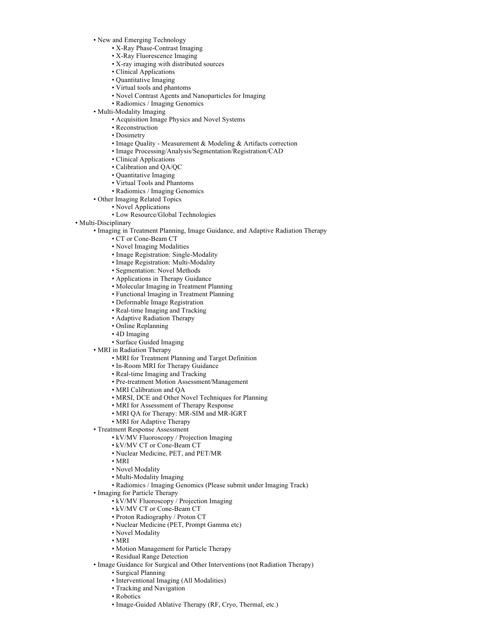• New and Emerging Technology

- X-Ray Phase-Contrast Imaging
- X-Ray Fluorescence Imaging
- X-ray imaging with distributed sources
- Clinical Applications
- Quantitative Imaging
- Virtual tools and phantoms
- Novel Contrast Agents and Nanoparticles for Imaging
- Radiomics / Imaging Genomics
- Multi-Modality Imaging
	- Acquisition Image Physics and Novel Systems
	- Reconstruction
	- Dosimetry
	- Image Quality Measurement & Modeling & Artifacts correction
	- Image Processing/Analysis/Segmentation/Registration/CAD
	- Clinical Applications
	- Calibration and QA/QC
	- Quantitative Imaging
	- Virtual Tools and Phantoms
	- Radiomics / Imaging Genomics
- Other Imaging Related Topics
	- Novel Applications
	- Low Resource/Global Technologies
- Multi-Disciplinary
	- Imaging in Treatment Planning, Image Guidance, and Adaptive Radiation Therapy
		- CT or Cone-Beam CT
		- Novel Imaging Modalities
		- Image Registration: Single-Modality
		- Image Registration: Multi-Modality
		- Segmentation: Novel Methods
		- Applications in Therapy Guidance
		- Molecular Imaging in Treatment Planning
		- Functional Imaging in Treatment Planning
		- Deformable Image Registration
		- Real-time Imaging and Tracking
		- Adaptive Radiation Therapy
		- Online Replanning
		- 4D Imaging
		- Surface Guided Imaging
	- MRI in Radiation Therapy
		- MRI for Treatment Planning and Target Definition
		- In-Room MRI for Therapy Guidance
		- Real-time Imaging and Tracking
		- Pre-treatment Motion Assessment/Management
		- MRI Calibration and QA
		- MRSI, DCE and Other Novel Techniques for Planning
		- MRI for Assessment of Therapy Response
		- MRI QA for Therapy: MR-SIM and MR-IGRT
		- MRI for Adaptive Therapy
	- Treatment Response Assessment
		- kV/MV Fluoroscopy / Projection Imaging
		- kV/MV CT or Cone-Beam CT
		- Nuclear Medicine, PET, and PET/MR
		- MRI
		- Novel Modality
		- Multi-Modality Imaging
		- Radiomics / Imaging Genomics (Please submit under Imaging Track)
	- Imaging for Particle Therapy
		- kV/MV Fluoroscopy / Projection Imaging
		- kV/MV CT or Cone-Beam CT
		- Proton Radiography / Proton CT
		- Nuclear Medicine (PET, Prompt Gamma etc)
		- Novel Modality
		- MRI
		- Motion Management for Particle Therapy
		- Residual Range Detection
	- Image Guidance for Surgical and Other Interventions (not Radiation Therapy)
		- Surgical Planning
		- Interventional Imaging (All Modalities)
		- Tracking and Navigation
		- Robotics
		- Image-Guided Ablative Therapy (RF, Cryo, Thermal, etc.)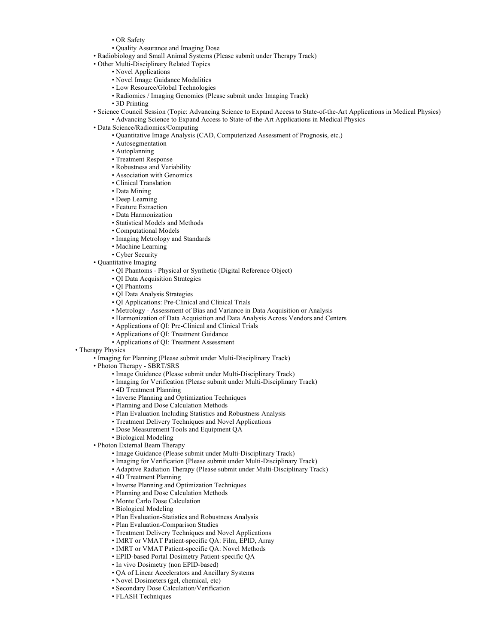- OR Safety
- Quality Assurance and Imaging Dose
- Radiobiology and Small Animal Systems (Please submit under Therapy Track)
- Other Multi-Disciplinary Related Topics
	- Novel Applications
	- Novel Image Guidance Modalities
	- Low Resource/Global Technologies
	- Radiomics / Imaging Genomics (Please submit under Imaging Track)
	- 3D Printing
- Science Council Session (Topic: Advancing Science to Expand Access to State-of-the-Art Applications in Medical Physics) • Advancing Science to Expand Access to State-of-the-Art Applications in Medical Physics
- Data Science/Radiomics/Computing
	- Quantitative Image Analysis (CAD, Computerized Assessment of Prognosis, etc.)
	- Autosegmentation
	- Autoplanning
	- Treatment Response
	- Robustness and Variability
	- Association with Genomics
	- Clinical Translation
	- Data Mining
	- Deep Learning
	- Feature Extraction
	- Data Harmonization
	- Statistical Models and Methods
	- Computational Models
	- Imaging Metrology and Standards
	- Machine Learning
	- Cyber Security
- Quantitative Imaging
	- QI Phantoms Physical or Synthetic (Digital Reference Object)
	- QI Data Acquisition Strategies
	- QI Phantoms
	- QI Data Analysis Strategies
	- QI Applications: Pre-Clinical and Clinical Trials
	- Metrology Assessment of Bias and Variance in Data Acquisition or Analysis
	- Harmonization of Data Acquisition and Data Analysis Across Vendors and Centers
	- Applications of QI: Pre-Clinical and Clinical Trials
	- Applications of QI: Treatment Guidance
	- Applications of QI: Treatment Assessment
- Therapy Physics
	- Imaging for Planning (Please submit under Multi-Disciplinary Track)
	- Photon Therapy SBRT/SRS
		- Image Guidance (Please submit under Multi-Disciplinary Track)
		- Imaging for Verification (Please submit under Multi-Disciplinary Track)
		- 4D Treatment Planning
		- Inverse Planning and Optimization Techniques
		- Planning and Dose Calculation Methods
		- Plan Evaluation Including Statistics and Robustness Analysis
		- Treatment Delivery Techniques and Novel Applications
		- Dose Measurement Tools and Equipment QA
		- Biological Modeling
	- Photon External Beam Therapy
		- Image Guidance (Please submit under Multi-Disciplinary Track)
		- Imaging for Verification (Please submit under Multi-Disciplinary Track)
		- Adaptive Radiation Therapy (Please submit under Multi-Disciplinary Track)
		- 4D Treatment Planning
		- Inverse Planning and Optimization Techniques
		- Planning and Dose Calculation Methods
		- Monte Carlo Dose Calculation
		- Biological Modeling
		- Plan Evaluation-Statistics and Robustness Analysis
		- Plan Evaluation-Comparison Studies
		- Treatment Delivery Techniques and Novel Applications
		- IMRT or VMAT Patient-specific QA: Film, EPID, Array
		- IMRT or VMAT Patient-specific QA: Novel Methods
		- EPID-based Portal Dosimetry Patient-specific QA
		- In vivo Dosimetry (non EPID-based)
		- QA of Linear Accelerators and Ancillary Systems
		- Novel Dosimeters (gel, chemical, etc)
		- Secondary Dose Calculation/Verification
		- FLASH Techniques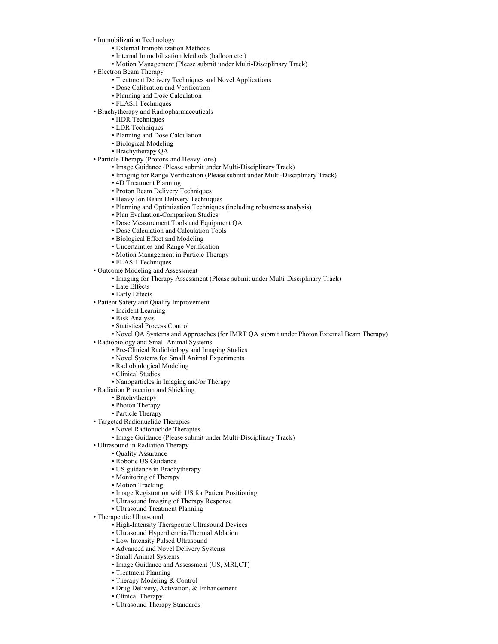- Immobilization Technology
	- External Immobilization Methods
	- Internal Immobilization Methods (balloon etc.)
	- Motion Management (Please submit under Multi-Disciplinary Track)
- Electron Beam Therapy
	- Treatment Delivery Techniques and Novel Applications
	- Dose Calibration and Verification
	- Planning and Dose Calculation
	- FLASH Techniques
- Brachytherapy and Radiopharmaceuticals
	- HDR Techniques
	- LDR Techniques
	- Planning and Dose Calculation
	- Biological Modeling
	- Brachytherapy QA
- Particle Therapy (Protons and Heavy Ions)
	- Image Guidance (Please submit under Multi-Disciplinary Track)
	- Imaging for Range Verification (Please submit under Multi-Disciplinary Track)
	- 4D Treatment Planning
	- Proton Beam Delivery Techniques
	- Heavy Ion Beam Delivery Techniques
	- Planning and Optimization Techniques (including robustness analysis)
	- Plan Evaluation-Comparison Studies
	- Dose Measurement Tools and Equipment QA
	- Dose Calculation and Calculation Tools
	- Biological Effect and Modeling
	- Uncertainties and Range Verification
	- Motion Management in Particle Therapy
	- FLASH Techniques
- Outcome Modeling and Assessment
	- Imaging for Therapy Assessment (Please submit under Multi-Disciplinary Track)
	- Late Effects
	- Early Effects
- Patient Safety and Quality Improvement
	- Incident Learning
	- Risk Analysis
	- Statistical Process Control
- Novel QA Systems and Approaches (for IMRT QA submit under Photon External Beam Therapy)
- Radiobiology and Small Animal Systems
	- Pre-Clinical Radiobiology and Imaging Studies
	- Novel Systems for Small Animal Experiments
	- Radiobiological Modeling
	- Clinical Studies
	- Nanoparticles in Imaging and/or Therapy
- Radiation Protection and Shielding
	- Brachytherapy
	- Photon Therapy
	- Particle Therapy
- Targeted Radionuclide Therapies
	- Novel Radionuclide Therapies
	- Image Guidance (Please submit under Multi-Disciplinary Track)
- Ultrasound in Radiation Therapy
	- Quality Assurance
	- Robotic US Guidance
	- US guidance in Brachytherapy
	- Monitoring of Therapy
	- Motion Tracking
	- Image Registration with US for Patient Positioning
	- Ultrasound Imaging of Therapy Response
	- Ultrasound Treatment Planning
- Therapeutic Ultrasound
	- High-Intensity Therapeutic Ultrasound Devices
	- Ultrasound Hyperthermia/Thermal Ablation
	- Low Intensity Pulsed Ultrasound
	- Advanced and Novel Delivery Systems
	- Small Animal Systems
	- Image Guidance and Assessment (US, MRI,CT)
	- Treatment Planning
	- Therapy Modeling & Control
	- Drug Delivery, Activation, & Enhancement
	- Clinical Therapy
	- Ultrasound Therapy Standards